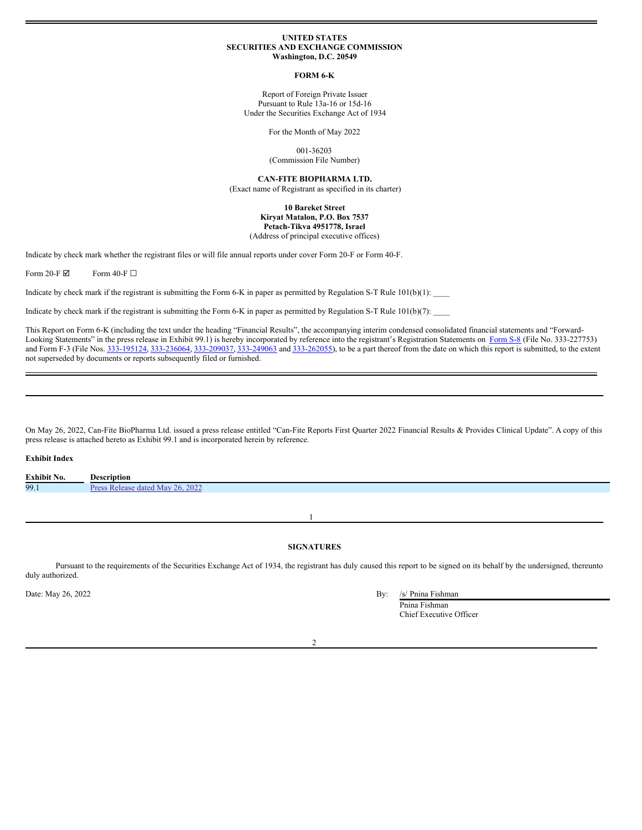#### **UNITED STATES SECURITIES AND EXCHANGE COMMISSION Washington, D.C. 20549**

#### **FORM 6-K**

Report of Foreign Private Issuer Pursuant to Rule 13a-16 or 15d-16 Under the Securities Exchange Act of 1934

For the Month of May 2022

001-36203 (Commission File Number)

**CAN-FITE BIOPHARMA LTD.** (Exact name of Registrant as specified in its charter)

#### **10 Bareket Street Kiryat Matalon, P.O. Box 7537 Petach-Tikva 4951778, Israel** (Address of principal executive offices)

Indicate by check mark whether the registrant files or will file annual reports under cover Form 20-F or Form 40-F.

Form 20-F $\boxtimes$  Form 40-F $\square$ 

Indicate by check mark if the registrant is submitting the Form 6-K in paper as permitted by Regulation S-T Rule  $101(b)(1)$ :

Indicate by check mark if the registrant is submitting the Form 6-K in paper as permitted by Regulation S-T Rule  $101(b)(7)$ :

This Report on Form 6-K (including the text under the heading "Financial Results", the accompanying interim condensed consolidated financial statements and "Forward-Looking Statements" in the press release in Exhibit 99.1) is hereby incorporated by reference into the registrant's Registration Statements on [Form](http://www.sec.gov/Archives/edgar/data/1536196/000121390018013702/fs82018_canfitebiopharma.htm) S-8 (File No. 333-227753) and Form F-3 (File Nos. [333-195124](http://www.sec.gov/Archives/edgar/data/1536196/000121390014006702/posam2014a1_canfitebiopharma.htm), [333-236064](http://www.sec.gov/Archives/edgar/data/1536196/000121390020008630/ea120459-posam_canfitebio.htm), [333-209037](http://www.sec.gov/Archives/edgar/data/1536196/000121390016010259/ff32016_canfitebio.htm), [333-249063](http://www.sec.gov/Archives/edgar/data/1536196/000121390020028478/ea127289-f3_canfite.htm) and [333-262055](http://www.sec.gov/Archives/edgar/data/1536196/000121390022001135/ea153627-f3_canfite.htm)), to be a part thereof from the date on which this report is submitted, to the extent not superseded by documents or reports subsequently filed or furnished.

On May 26, 2022, Can-Fite BioPharma Ltd. issued a press release entitled "Can-Fite Reports First Quarter 2022 Financial Results & Provides Clinical Update". A copy of this press release is attached hereto as Exhibit 99.1 and is incorporated herein by reference.

#### **Exhibit Index**

| <b>Exhibit No.</b> | Description                              |
|--------------------|------------------------------------------|
| 99.1               | 26.2022<br><b>May</b><br>: Release dated |
|                    |                                          |

1

# **SIGNATURES**

Pursuant to the requirements of the Securities Exchange Act of 1934, the registrant has duly caused this report to be signed on its behalf by the undersigned, thereunto duly authorized.

| Date: May 26, 2022 | Bv: | /s/ Pnina Fishman |
|--------------------|-----|-------------------|
|--------------------|-----|-------------------|

Pnina Fishman Chief Executive Officer

 $\overline{\mathcal{L}}$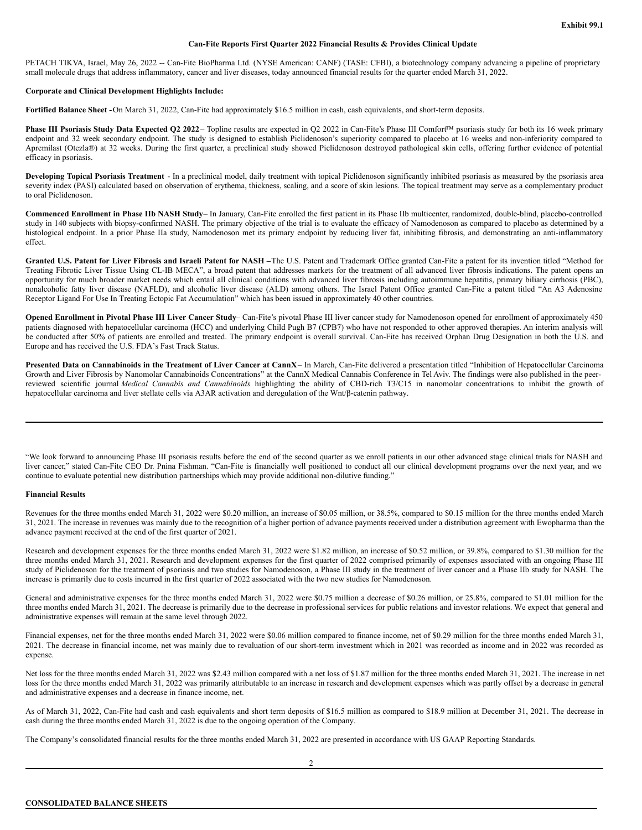# **Can-Fite Reports First Quarter 2022 Financial Results & Provides Clinical Update**

PETACH TIKVA, Israel, May 26, 2022 -- Can-Fite BioPharma Ltd. (NYSE American: CANF) (TASE: CFBI), a biotechnology company advancing a pipeline of proprietary small molecule drugs that address inflammatory, cancer and liver diseases, today announced financial results for the quarter ended March 31, 2022.

# **Corporate and Clinical Development Highlights Include:**

**Fortified Balance Sheet -**On March 31, 2022, Can-Fite had approximately \$16.5 million in cash, cash equivalents, and short-term deposits.

**Phase III Psoriasis Study Data Expected Q2 2022**– Topline results are expected in Q2 2022 in Can-Fite's Phase III Comfort™ psoriasis study for both its 16 week primary endpoint and 32 week secondary endpoint. The study is designed to establish Piclidenoson's superiority compared to placebo at 16 weeks and non-inferiority compared to Apremilast (Otezla®) at 32 weeks. During the first quarter, a preclinical study showed Piclidenoson destroyed pathological skin cells, offering further evidence of potential efficacy in psoriasis.

**Developing Topical Psoriasis Treatment** - In a preclinical model, daily treatment with topical Piclidenoson significantly inhibited psoriasis as measured by the psoriasis area severity index (PASI) calculated based on observation of erythema, thickness, scaling, and a score of skin lesions. The topical treatment may serve as a complementary product to oral Piclidenoson.

**Commenced Enrollment in Phase IIb NASH Study**– In January, Can-Fite enrolled the first patient in its Phase IIb multicenter, randomized, double-blind, placebo-controlled study in 140 subjects with biopsy-confirmed NASH. The primary objective of the trial is to evaluate the efficacy of Namodenoson as compared to placebo as determined by a histological endpoint. In a prior Phase IIa study, Namodenoson met its primary endpoint by reducing liver fat, inhibiting fibrosis, and demonstrating an anti-inflammatory effect.

Granted U.S. Patent for Liver Fibrosis and Israeli Patent for NASH -The U.S. Patent and Trademark Office granted Can-Fite a patent for its invention titled "Method for Treating Fibrotic Liver Tissue Using CL-IB MECA", a broad patent that addresses markets for the treatment of all advanced liver fibrosis indications. The patent opens an opportunity for much broader market needs which entail all clinical conditions with advanced liver fibrosis including autoimmune hepatitis, primary biliary cirrhosis (PBC), nonalcoholic fatty liver disease (NAFLD), and alcoholic liver disease (ALD) among others. The Israel Patent Office granted Can-Fite a patent titled "An A3 Adenosine Receptor Ligand For Use In Treating Ectopic Fat Accumulation" which has been issued in approximately 40 other countries.

Opened Enrollment in Pivotal Phase III Liver Cancer Study- Can-Fite's pivotal Phase III liver cancer study for Namodenoson opened for enrollment of approximately 450 patients diagnosed with hepatocellular carcinoma (HCC) and underlying Child Pugh B7 (CPB7) who have not responded to other approved therapies. An interim analysis will be conducted after 50% of patients are enrolled and treated. The primary endpoint is overall survival. Can-Fite has received Orphan Drug Designation in both the U.S. and Europe and has received the U.S. FDA's Fast Track Status.

Presented Data on Cannabinoids in the Treatment of Liver Cancer at CannX- In March, Can-Fite delivered a presentation titled "Inhibition of Hepatocellular Carcinoma Growth and Liver Fibrosis by Nanomolar Cannabinoids Concentrations" at the CannX Medical Cannabis Conference in Tel Aviv. The findings were also published in the peerreviewed scientific journal *Medical Cannabis and Cannabinoids* highlighting the ability of CBD-rich T3/C15 in nanomolar concentrations to inhibit the growth of hepatocellular carcinoma and liver stellate cells via A3AR activation and deregulation of the Wnt/β-catenin pathway.

"We look forward to announcing Phase III psoriasis results before the end of the second quarter as we enroll patients in our other advanced stage clinical trials for NASH and liver cancer," stated Can-Fite CEO Dr. Pnina Fishman. "Can-Fite is financially well positioned to conduct all our clinical development programs over the next year, and we continue to evaluate potential new distribution partnerships which may provide additional non-dilutive funding."

### **Financial Results**

Revenues for the three months ended March 31, 2022 were \$0.20 million, an increase of \$0.05 million, or 38.5%, compared to \$0.15 million for the three months ended March 31, 2021. The increase in revenues was mainly due to the recognition of a higher portion of advance payments received under a distribution agreement with Ewopharma than the advance payment received at the end of the first quarter of 2021.

Research and development expenses for the three months ended March 31, 2022 were \$1.82 million, an increase of \$0.52 million, or 39.8%, compared to \$1.30 million for the three months ended March 31, 2021. Research and development expenses for the first quarter of 2022 comprised primarily of expenses associated with an ongoing Phase III study of Piclidenoson for the treatment of psoriasis and two studies for Namodenoson, a Phase III study in the treatment of liver cancer and a Phase IIb study for NASH. The increase is primarily due to costs incurred in the first quarter of 2022 associated with the two new studies for Namodenoson.

General and administrative expenses for the three months ended March 31, 2022 were \$0.75 million a decrease of \$0.26 million, or 25.8%, compared to \$1.01 million for the three months ended March 31, 2021. The decrease is primarily due to the decrease in professional services for public relations and investor relations. We expect that general and administrative expenses will remain at the same level through 2022.

Financial expenses, net for the three months ended March 31, 2022 were \$0.06 million compared to finance income, net of \$0.29 million for the three months ended March 31, 2021. The decrease in financial income, net was mainly due to revaluation of our short-term investment which in 2021 was recorded as income and in 2022 was recorded as expense.

Net loss for the three months ended March 31, 2022 was \$2.43 million compared with a net loss of \$1.87 million for the three months ended March 31, 2021. The increase in net loss for the three months ended March 31, 2022 was primarily attributable to an increase in research and development expenses which was partly offset by a decrease in general and administrative expenses and a decrease in finance income, net.

As of March 31, 2022, Can-Fite had cash and cash equivalents and short term deposits of \$16.5 million as compared to \$18.9 million at December 31, 2021. The decrease in cash during the three months ended March 31, 2022 is due to the ongoing operation of the Company.

The Company's consolidated financial results for the three months ended March 31, 2022 are presented in accordance with US GAAP Reporting Standards.

2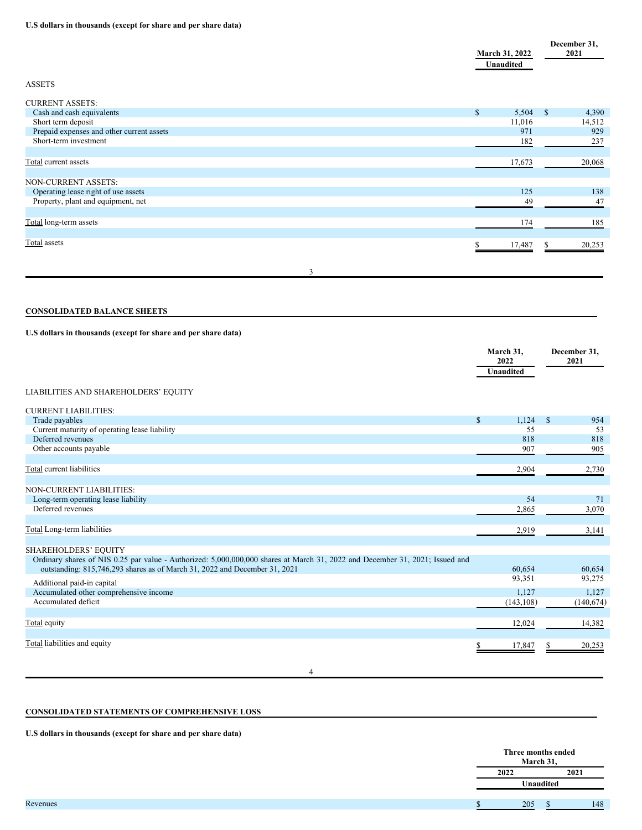# <span id="page-2-0"></span>**U.S dollars in thousands (except for share and per share data)**

|                                                                                                                              | March 31, 2022<br><b>Unaudited</b> | December 31,<br>2021 |
|------------------------------------------------------------------------------------------------------------------------------|------------------------------------|----------------------|
| <b>ASSETS</b>                                                                                                                |                                    |                      |
| <b>CURRENT ASSETS:</b>                                                                                                       |                                    |                      |
| Cash and cash equivalents                                                                                                    | \$<br>5,504                        | -S<br>4,390          |
| Short term deposit                                                                                                           | 11,016                             | 14,512               |
| Prepaid expenses and other current assets<br>Short-term investment                                                           | 971                                | 929                  |
|                                                                                                                              | 182                                | 237                  |
| Total current assets                                                                                                         | 17,673                             | 20,068               |
| NON-CURRENT ASSETS:                                                                                                          |                                    |                      |
| Operating lease right of use assets                                                                                          | 125                                | 138                  |
| Property, plant and equipment, net                                                                                           | 49                                 | 47                   |
| Total long-term assets                                                                                                       | 174                                | 185                  |
| <b>Total</b> assets                                                                                                          | 17,487                             | 20,253               |
|                                                                                                                              |                                    |                      |
| 3                                                                                                                            |                                    |                      |
| <b>CONSOLIDATED BALANCE SHEETS</b>                                                                                           |                                    |                      |
| U.S dollars in thousands (except for share and per share data)                                                               |                                    |                      |
|                                                                                                                              | March 31,                          | December 31,         |
|                                                                                                                              | 2022                               | 2021                 |
|                                                                                                                              | Unaudited                          |                      |
| LIABILITIES AND SHAREHOLDERS' EQUITY                                                                                         |                                    |                      |
| <b>CURRENT LIABILITIES:</b>                                                                                                  |                                    |                      |
| Trade payables                                                                                                               | $\mathbb{S}$<br>1,124              | $\$$<br>954          |
| Current maturity of operating lease liability                                                                                | 55                                 | 53                   |
| Deferred revenues                                                                                                            | 818                                | 818                  |
| Other accounts payable                                                                                                       | 907                                | 905                  |
| <b>Total current liabilities</b>                                                                                             | 2,904                              | 2,730                |
|                                                                                                                              |                                    |                      |
| NON-CURRENT LIABILITIES:                                                                                                     |                                    |                      |
| Long-term operating lease liability                                                                                          | 54                                 | 71                   |
| Deferred revenues                                                                                                            | 2,865                              | 3,070                |
| Total Long-term liabilities                                                                                                  | 2,919                              | 3,141                |
| SHAREHOLDERS' EQUITY                                                                                                         |                                    |                      |
| Ordinary shares of NIS 0.25 par value - Authorized: 5,000,000,000 shares at March 31, 2022 and December 31, 2021; Issued and |                                    |                      |
| outstanding: 815,746,293 shares as of March 31, 2022 and December 31, 2021                                                   | 60,654                             | 60,654               |
| Additional paid-in capital                                                                                                   | 93,351                             | 93,275               |
| Accumulated other comprehensive income                                                                                       | 1,127                              | 1,127                |
| Accumulated deficit                                                                                                          | (143, 108)                         | (140, 674)           |
| Total equity                                                                                                                 | 12,024                             | 14,382               |
| Total liabilities and equity                                                                                                 | 17,847                             | 20,253               |
|                                                                                                                              |                                    |                      |
| 4                                                                                                                            |                                    |                      |

# **CONSOLIDATED STATEMENTS OF COMPREHENSIVE LOSS**

**U.S dollars in thousands (except for share and per share data)**

| Three months ended<br>March 31, |      |  |
|---------------------------------|------|--|
| 2021                            | 2022 |  |
| Unaudited                       |      |  |
| 148                             | 205  |  |